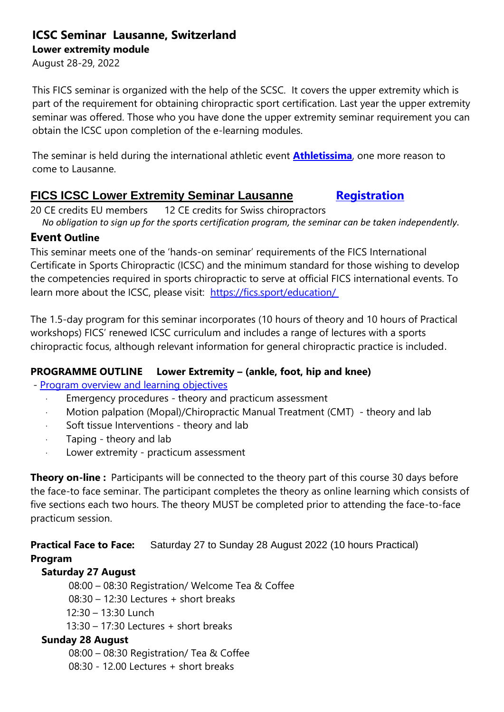# **ICSC Seminar Lausanne, Switzerland**

**Lower extremity module**

August 28-29, 2022

This FICS seminar is organized with the help of the SCSC. It covers the upper extremity which is part of the requirement for obtaining chiropractic sport certification. Last year the upper extremity seminar was offered. Those who you have done the upper extremity seminar requirement you can obtain the ICSC upon completion of the e-learning modules.

The seminar is held during the international athletic event **[Athletissima](https://lausanne.diamondleague.com/home/)**, one more reason to come to Lausanne.

# **FICS ICSC Lower Extremity Seminar Lausanne [Registration](https://fics.sport/product/switzerland-lausanne-icsc-lower-extremity-seminar/)**

20 CE credits EU members 12 CE credits for Swiss chiropractors

*No obligation to sign up for the sports certification program, the seminar can be taken independently.* 

## **Event Outline**

This seminar meets one of the 'hands-on seminar' requirements of the FICS International Certificate in Sports Chiropractic (ICSC) and the minimum standard for those wishing to develop the competencies required in sports chiropractic to serve at official FICS international events. To learn more about the ICSC, please visit: <https://fics.sport/education/>

The 1.5-day program for this seminar incorporates (10 hours of theory and 10 hours of Practical workshops) FICS' renewed ICSC curriculum and includes a range of lectures with a sports chiropractic focus, although relevant information for general chiropractic practice is included.

### **PROGRAMME OUTLINE Lower Extremity – (ankle, foot, hip and knee)**

- [Program overview and learning objectives](https://fics.sport/wp-content/uploads/2021/07/Lower-Extremity-ICSC-Seminars_Education-Learning-Objectivies.pdf)

- Emergency procedures theory and practicum assessment
- · Motion palpation (Mopal)/Chiropractic Manual Treatment (CMT) theory and lab
- Soft tissue Interventions theory and lab
- Taping theory and lab
- · Lower extremity practicum assessment

**Theory on-line :** Participants will be connected to the theory part of this course 30 days before the face-to face seminar. The participant completes the theory as online learning which consists of five sections each two hours. The theory MUST be completed prior to attending the face-to-face practicum session.

**Practical Face to Face:** Saturday 27 to Sunday 28 August 2022 (10 hours Practical) **Program**

### **Saturday 27 August**

08:00 – 08:30 Registration/ Welcome Tea & Coffee

08:30 – 12:30 Lectures + short breaks

- 12:30 13:30 Lunch
- 13:30 17:30 Lectures + short breaks

# **Sunday 28 August**

08:00 – 08:30 Registration/ Tea & Coffee

08:30 - 12.00 Lectures + short breaks